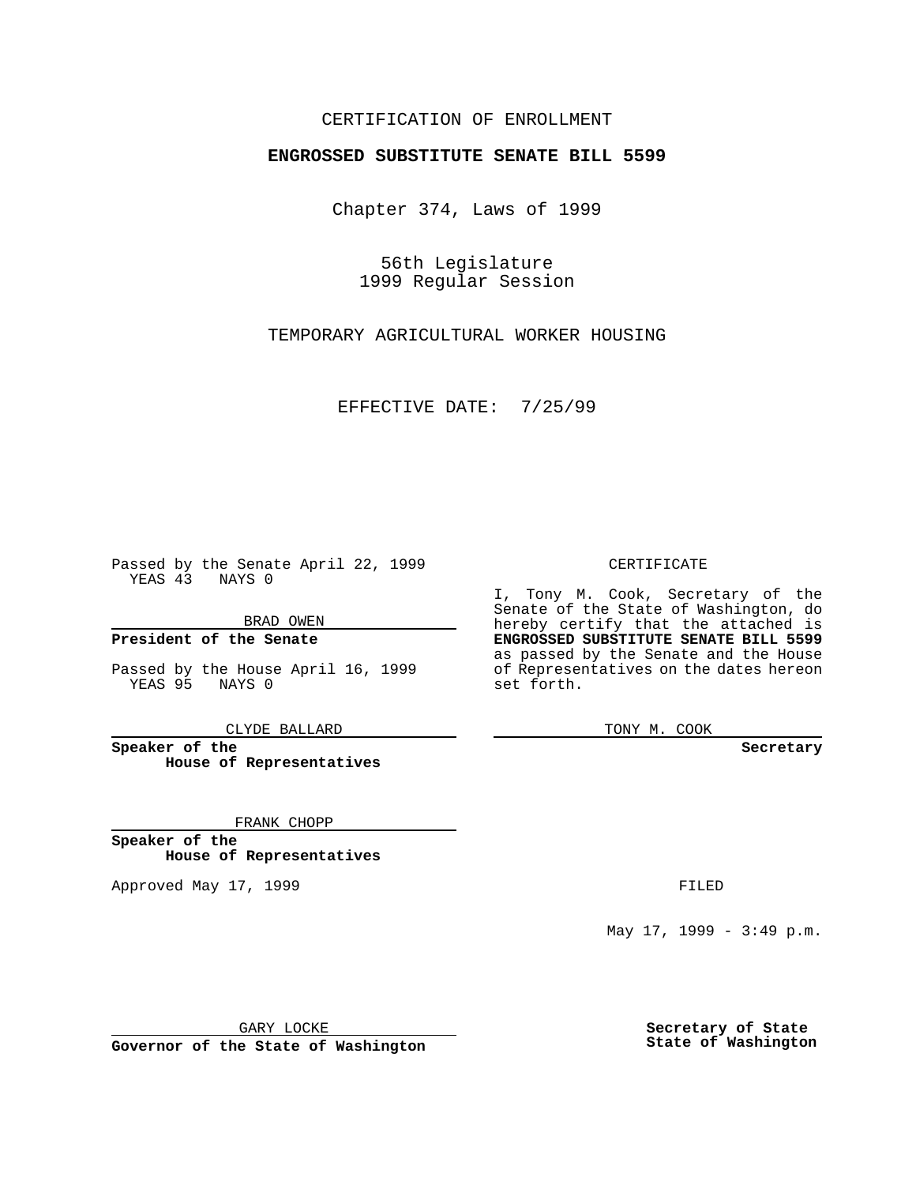### CERTIFICATION OF ENROLLMENT

# **ENGROSSED SUBSTITUTE SENATE BILL 5599**

Chapter 374, Laws of 1999

56th Legislature 1999 Regular Session

TEMPORARY AGRICULTURAL WORKER HOUSING

EFFECTIVE DATE: 7/25/99

Passed by the Senate April 22, 1999 YEAS 43 NAYS 0

BRAD OWEN

**President of the Senate**

Passed by the House April 16, 1999 YEAS 95 NAYS 0

CLYDE BALLARD

**Speaker of the House of Representatives**

FRANK CHOPP

**Speaker of the House of Representatives**

Approved May 17, 1999 **FILED** 

CERTIFICATE

I, Tony M. Cook, Secretary of the Senate of the State of Washington, do hereby certify that the attached is **ENGROSSED SUBSTITUTE SENATE BILL 5599** as passed by the Senate and the House of Representatives on the dates hereon set forth.

TONY M. COOK

**Secretary**

May 17, 1999 - 3:49 p.m.

GARY LOCKE

**Governor of the State of Washington**

**Secretary of State State of Washington**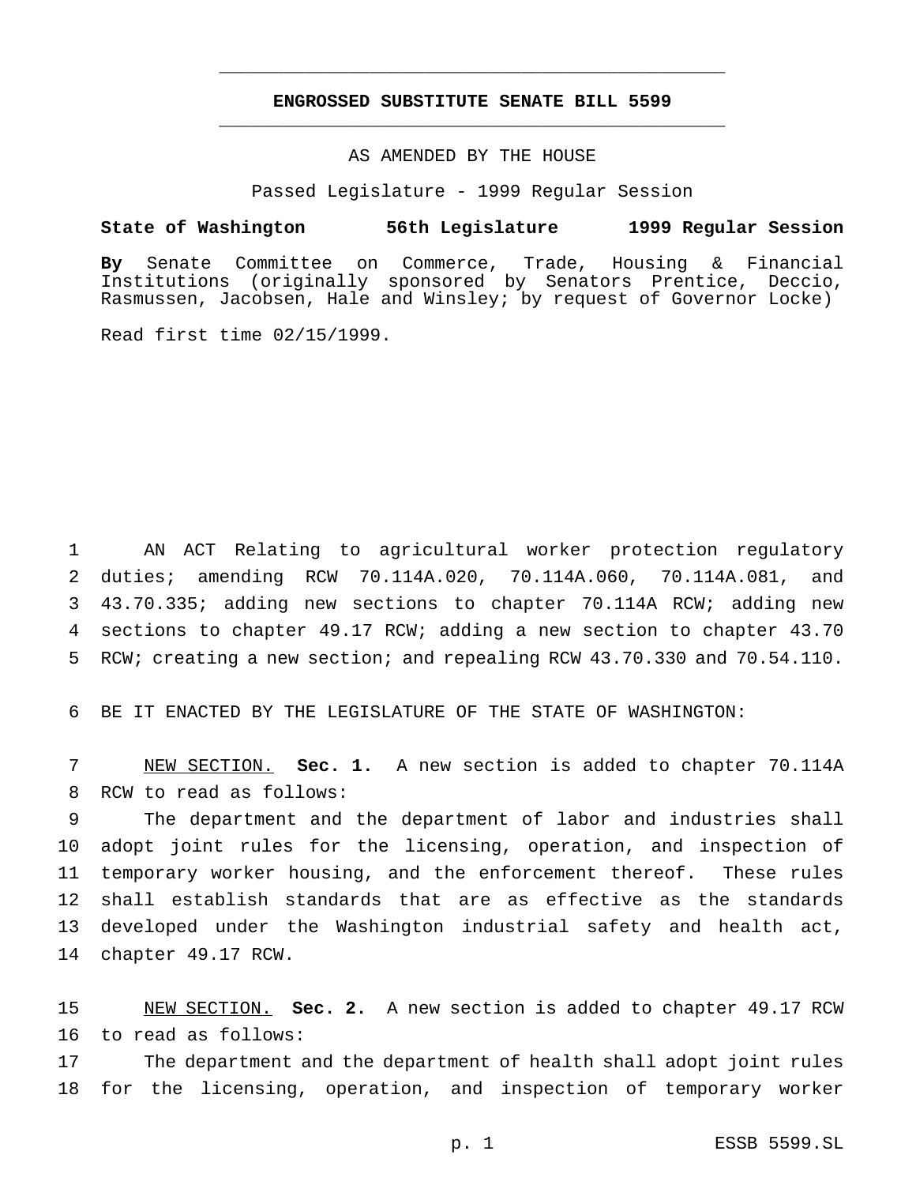## **ENGROSSED SUBSTITUTE SENATE BILL 5599** \_\_\_\_\_\_\_\_\_\_\_\_\_\_\_\_\_\_\_\_\_\_\_\_\_\_\_\_\_\_\_\_\_\_\_\_\_\_\_\_\_\_\_\_\_\_\_

\_\_\_\_\_\_\_\_\_\_\_\_\_\_\_\_\_\_\_\_\_\_\_\_\_\_\_\_\_\_\_\_\_\_\_\_\_\_\_\_\_\_\_\_\_\_\_

#### AS AMENDED BY THE HOUSE

Passed Legislature - 1999 Regular Session

#### **State of Washington 56th Legislature 1999 Regular Session**

**By** Senate Committee on Commerce, Trade, Housing & Financial Institutions (originally sponsored by Senators Prentice, Deccio, Rasmussen, Jacobsen, Hale and Winsley; by request of Governor Locke)

Read first time 02/15/1999.

 AN ACT Relating to agricultural worker protection regulatory duties; amending RCW 70.114A.020, 70.114A.060, 70.114A.081, and 43.70.335; adding new sections to chapter 70.114A RCW; adding new sections to chapter 49.17 RCW; adding a new section to chapter 43.70 RCW; creating a new section; and repealing RCW 43.70.330 and 70.54.110.

BE IT ENACTED BY THE LEGISLATURE OF THE STATE OF WASHINGTON:

 NEW SECTION. **Sec. 1.** A new section is added to chapter 70.114A RCW to read as follows:

 The department and the department of labor and industries shall adopt joint rules for the licensing, operation, and inspection of temporary worker housing, and the enforcement thereof. These rules shall establish standards that are as effective as the standards developed under the Washington industrial safety and health act, chapter 49.17 RCW.

 NEW SECTION. **Sec. 2.** A new section is added to chapter 49.17 RCW to read as follows:

 The department and the department of health shall adopt joint rules for the licensing, operation, and inspection of temporary worker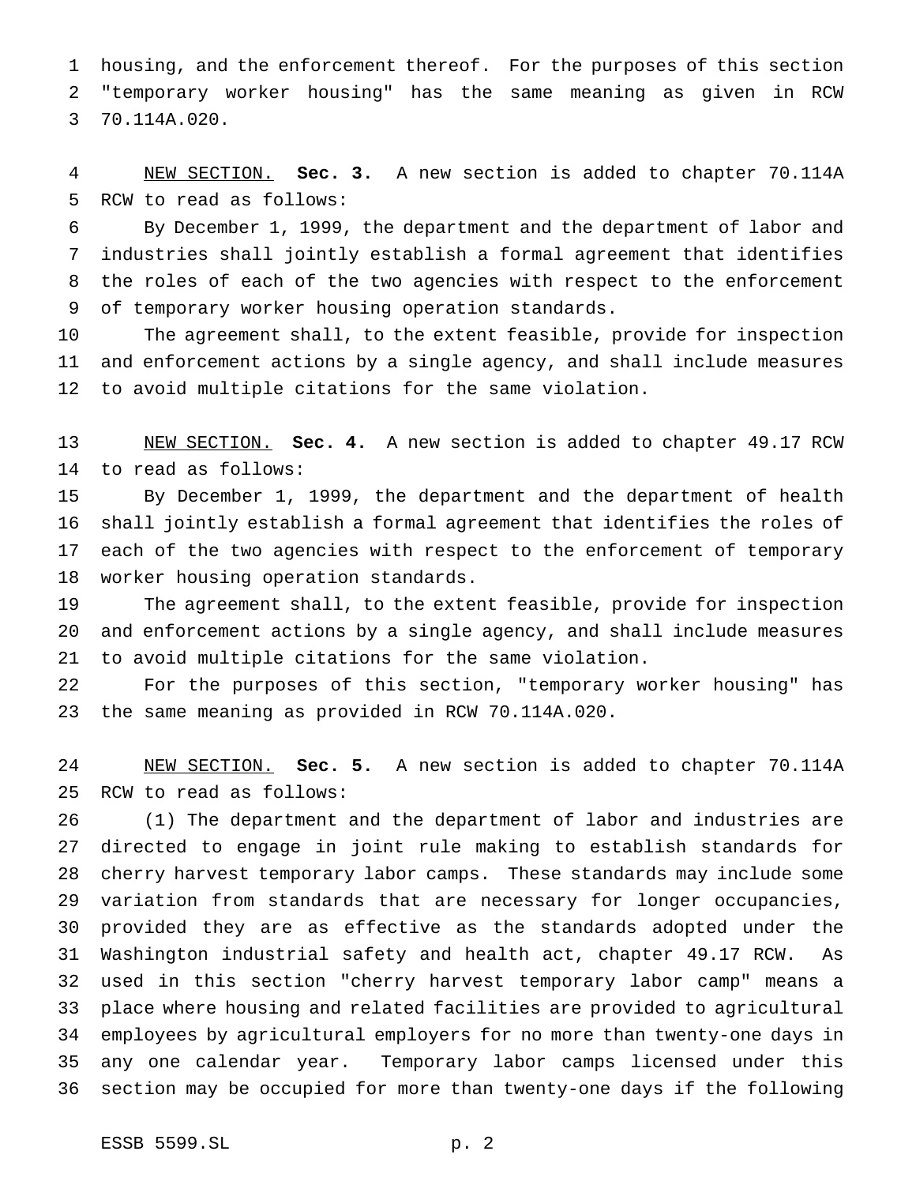housing, and the enforcement thereof. For the purposes of this section "temporary worker housing" has the same meaning as given in RCW 70.114A.020.

 NEW SECTION. **Sec. 3.** A new section is added to chapter 70.114A RCW to read as follows:

 By December 1, 1999, the department and the department of labor and industries shall jointly establish a formal agreement that identifies the roles of each of the two agencies with respect to the enforcement of temporary worker housing operation standards.

 The agreement shall, to the extent feasible, provide for inspection and enforcement actions by a single agency, and shall include measures to avoid multiple citations for the same violation.

 NEW SECTION. **Sec. 4.** A new section is added to chapter 49.17 RCW to read as follows:

 By December 1, 1999, the department and the department of health shall jointly establish a formal agreement that identifies the roles of each of the two agencies with respect to the enforcement of temporary worker housing operation standards.

 The agreement shall, to the extent feasible, provide for inspection and enforcement actions by a single agency, and shall include measures to avoid multiple citations for the same violation.

 For the purposes of this section, "temporary worker housing" has the same meaning as provided in RCW 70.114A.020.

 NEW SECTION. **Sec. 5.** A new section is added to chapter 70.114A RCW to read as follows:

 (1) The department and the department of labor and industries are directed to engage in joint rule making to establish standards for cherry harvest temporary labor camps. These standards may include some variation from standards that are necessary for longer occupancies, provided they are as effective as the standards adopted under the Washington industrial safety and health act, chapter 49.17 RCW. As used in this section "cherry harvest temporary labor camp" means a place where housing and related facilities are provided to agricultural employees by agricultural employers for no more than twenty-one days in any one calendar year. Temporary labor camps licensed under this section may be occupied for more than twenty-one days if the following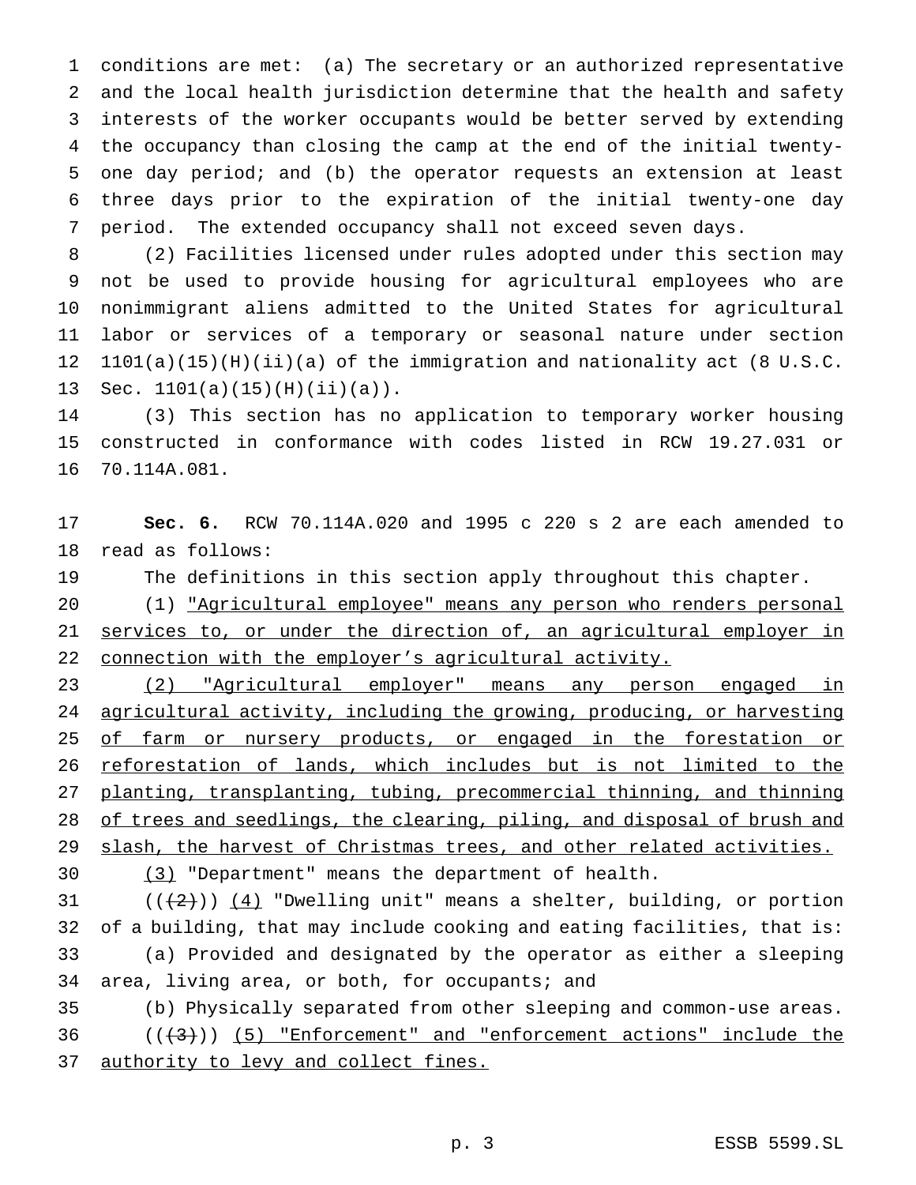conditions are met: (a) The secretary or an authorized representative and the local health jurisdiction determine that the health and safety interests of the worker occupants would be better served by extending the occupancy than closing the camp at the end of the initial twenty- one day period; and (b) the operator requests an extension at least three days prior to the expiration of the initial twenty-one day period. The extended occupancy shall not exceed seven days.

 (2) Facilities licensed under rules adopted under this section may not be used to provide housing for agricultural employees who are nonimmigrant aliens admitted to the United States for agricultural labor or services of a temporary or seasonal nature under section 1101(a)(15)(H)(ii)(a) of the immigration and nationality act (8 U.S.C. 13 Sec.  $1101(a)(15)(H)(ii)(a)$ .

 (3) This section has no application to temporary worker housing constructed in conformance with codes listed in RCW 19.27.031 or 70.114A.081.

 **Sec. 6.** RCW 70.114A.020 and 1995 c 220 s 2 are each amended to read as follows:

The definitions in this section apply throughout this chapter.

 (1) "Agricultural employee" means any person who renders personal 21 services to, or under the direction of, an agricultural employer in 22 connection with the employer's agricultural activity.

 (2) "Agricultural employer" means any person engaged in agricultural activity, including the growing, producing, or harvesting 25 of farm or nursery products, or engaged in the forestation or 26 reforestation of lands, which includes but is not limited to the planting, transplanting, tubing, precommercial thinning, and thinning 28 of trees and seedlings, the clearing, piling, and disposal of brush and 29 slash, the harvest of Christmas trees, and other related activities.

(3) "Department" means the department of health.

 $((+2))$   $(4)$  "Dwelling unit" means a shelter, building, or portion of a building, that may include cooking and eating facilities, that is: (a) Provided and designated by the operator as either a sleeping area, living area, or both, for occupants; and

 (b) Physically separated from other sleeping and common-use areas.  $((+3))$   $(5)$  "Enforcement" and "enforcement actions" include the authority to levy and collect fines.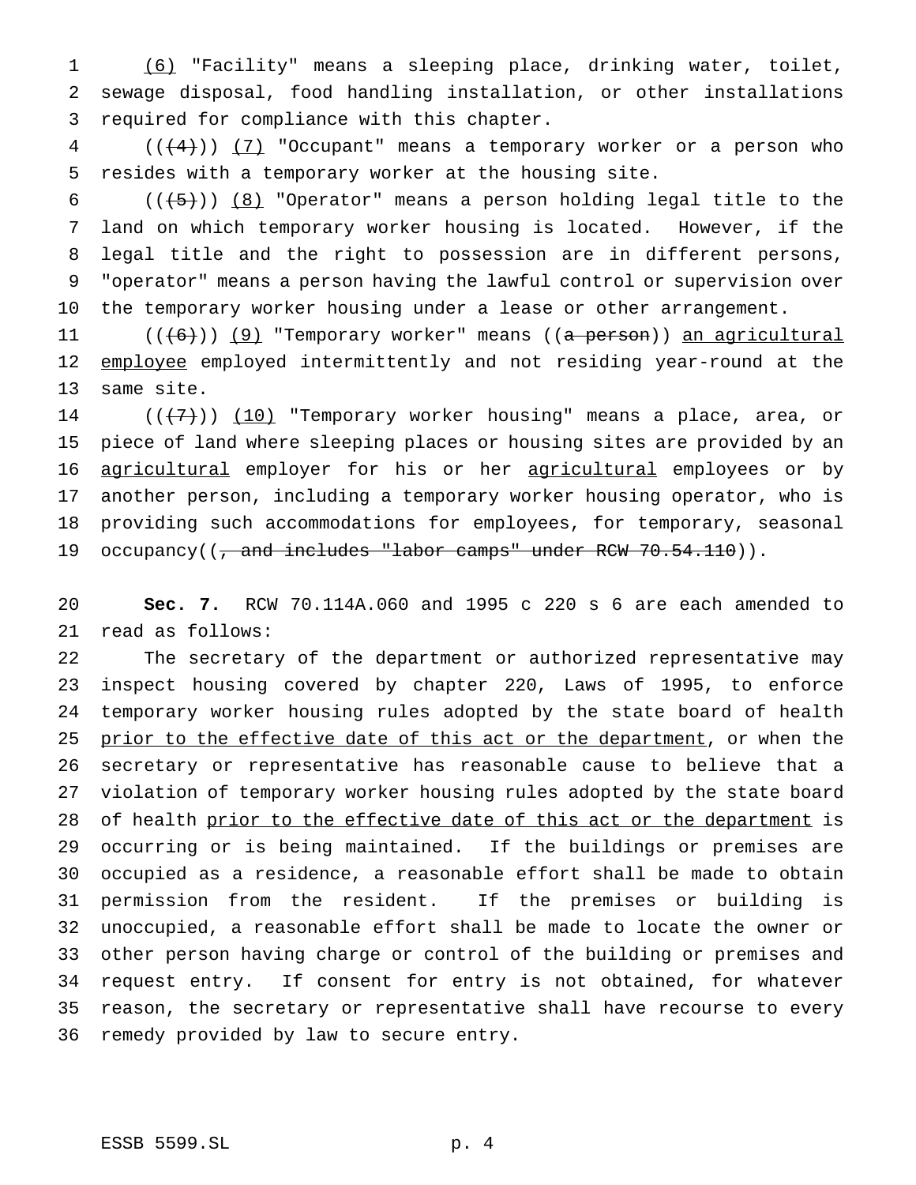(6) "Facility" means a sleeping place, drinking water, toilet, sewage disposal, food handling installation, or other installations required for compliance with this chapter.

4 (( $(4)$ )) (7) "Occupant" means a temporary worker or a person who resides with a temporary worker at the housing site.

 $((+5+))$  (8) "Operator" means a person holding legal title to the land on which temporary worker housing is located. However, if the legal title and the right to possession are in different persons, "operator" means a person having the lawful control or supervision over the temporary worker housing under a lease or other arrangement.

11 (((6)) (9) "Temporary worker" means ((a person)) an agricultural 12 employee employed intermittently and not residing year-round at the same site.

 $((+7))$  (10) "Temporary worker housing" means a place, area, or piece of land where sleeping places or housing sites are provided by an 16 agricultural employer for his or her agricultural employees or by another person, including a temporary worker housing operator, who is providing such accommodations for employees, for temporary, seasonal 19 occupancy((, and includes "labor camps" under RCW 70.54.110)).

 **Sec. 7.** RCW 70.114A.060 and 1995 c 220 s 6 are each amended to read as follows:

 The secretary of the department or authorized representative may inspect housing covered by chapter 220, Laws of 1995, to enforce temporary worker housing rules adopted by the state board of health 25 prior to the effective date of this act or the department, or when the secretary or representative has reasonable cause to believe that a violation of temporary worker housing rules adopted by the state board 28 of health prior to the effective date of this act or the department is occurring or is being maintained. If the buildings or premises are occupied as a residence, a reasonable effort shall be made to obtain permission from the resident. If the premises or building is unoccupied, a reasonable effort shall be made to locate the owner or other person having charge or control of the building or premises and request entry. If consent for entry is not obtained, for whatever reason, the secretary or representative shall have recourse to every remedy provided by law to secure entry.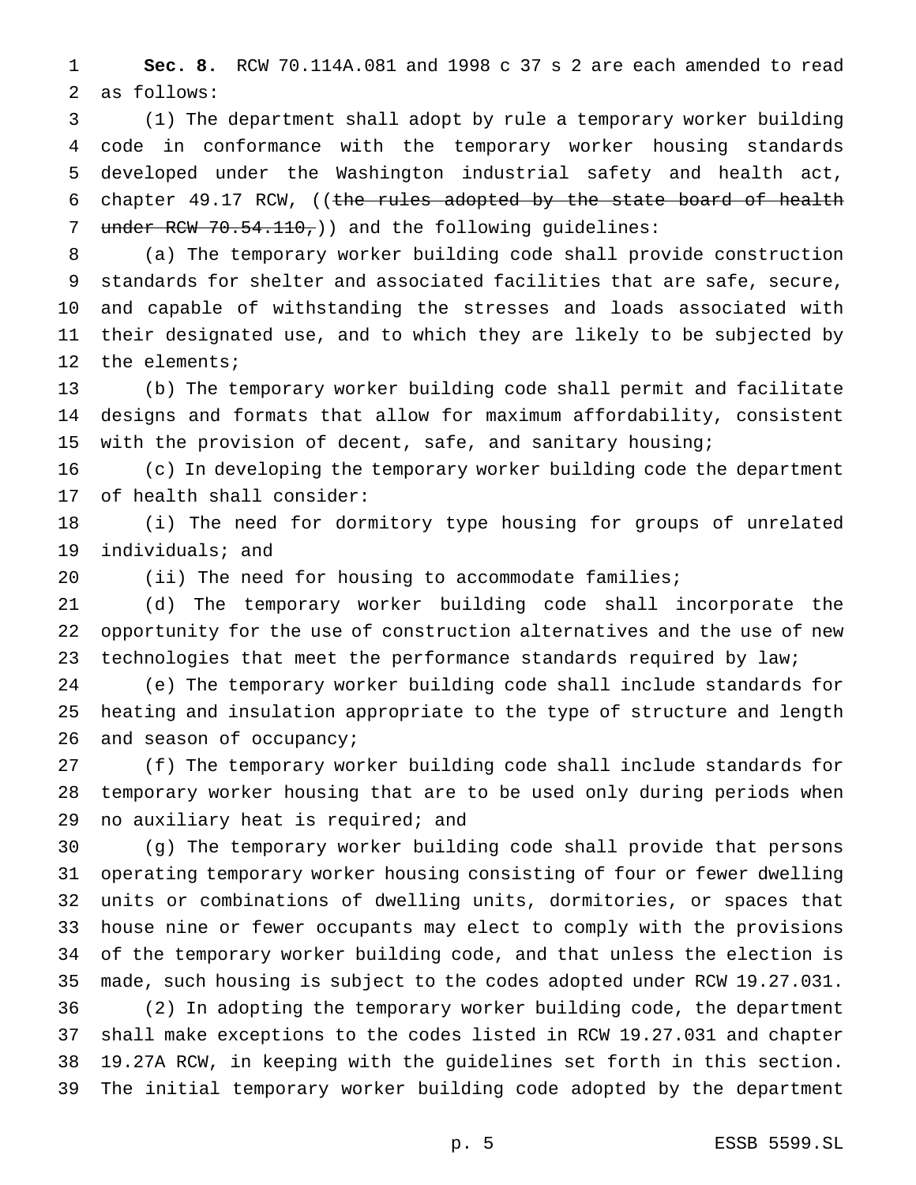**Sec. 8.** RCW 70.114A.081 and 1998 c 37 s 2 are each amended to read as follows:

 (1) The department shall adopt by rule a temporary worker building code in conformance with the temporary worker housing standards developed under the Washington industrial safety and health act, 6 chapter 49.17 RCW, ((the rules adopted by the state board of health 7 under RCW 70.54.110,) and the following guidelines:

 (a) The temporary worker building code shall provide construction standards for shelter and associated facilities that are safe, secure, and capable of withstanding the stresses and loads associated with their designated use, and to which they are likely to be subjected by the elements;

 (b) The temporary worker building code shall permit and facilitate designs and formats that allow for maximum affordability, consistent with the provision of decent, safe, and sanitary housing;

 (c) In developing the temporary worker building code the department of health shall consider:

 (i) The need for dormitory type housing for groups of unrelated individuals; and

(ii) The need for housing to accommodate families;

 (d) The temporary worker building code shall incorporate the opportunity for the use of construction alternatives and the use of new technologies that meet the performance standards required by law;

 (e) The temporary worker building code shall include standards for heating and insulation appropriate to the type of structure and length 26 and season of occupancy;

 (f) The temporary worker building code shall include standards for temporary worker housing that are to be used only during periods when no auxiliary heat is required; and

 (g) The temporary worker building code shall provide that persons operating temporary worker housing consisting of four or fewer dwelling units or combinations of dwelling units, dormitories, or spaces that house nine or fewer occupants may elect to comply with the provisions of the temporary worker building code, and that unless the election is made, such housing is subject to the codes adopted under RCW 19.27.031.

 (2) In adopting the temporary worker building code, the department shall make exceptions to the codes listed in RCW 19.27.031 and chapter 19.27A RCW, in keeping with the guidelines set forth in this section. The initial temporary worker building code adopted by the department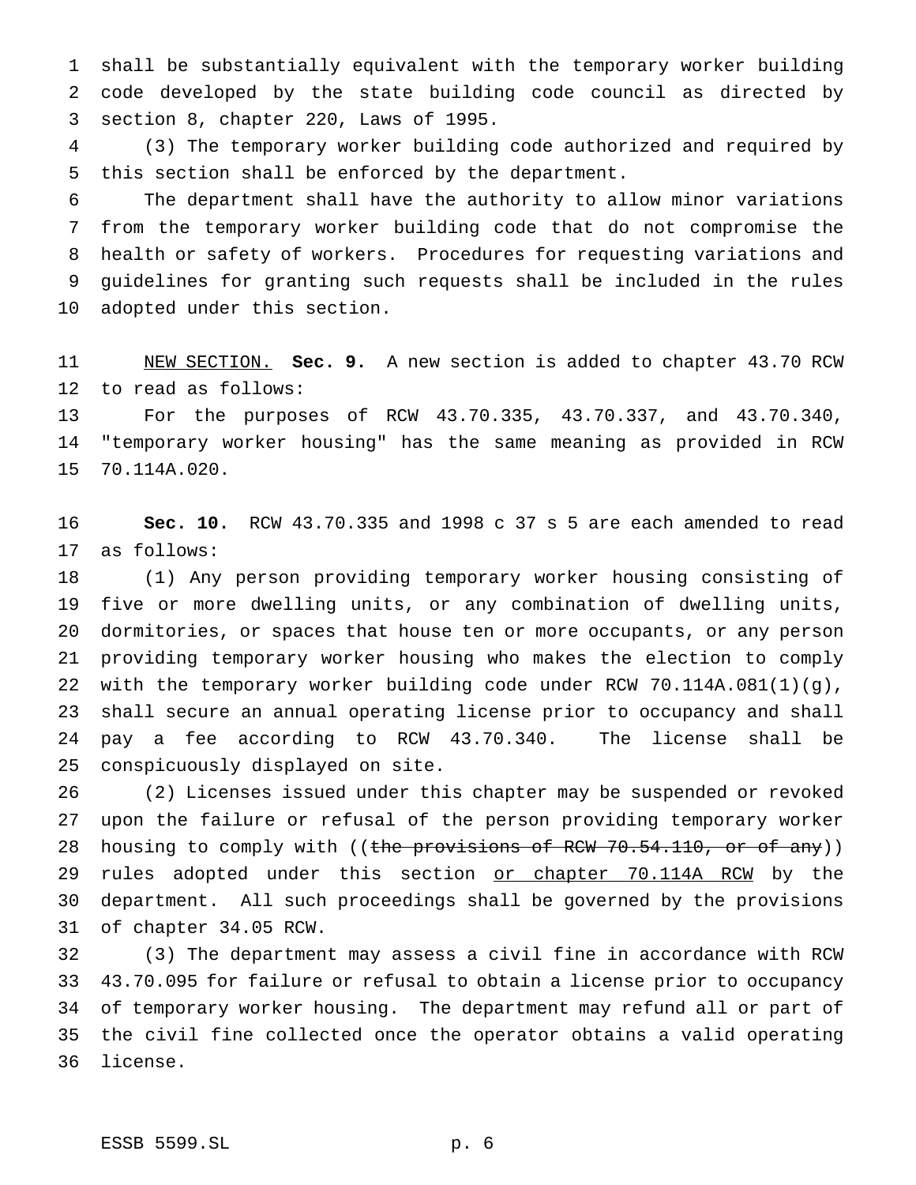shall be substantially equivalent with the temporary worker building code developed by the state building code council as directed by section 8, chapter 220, Laws of 1995.

 (3) The temporary worker building code authorized and required by this section shall be enforced by the department.

 The department shall have the authority to allow minor variations from the temporary worker building code that do not compromise the health or safety of workers. Procedures for requesting variations and guidelines for granting such requests shall be included in the rules adopted under this section.

 NEW SECTION. **Sec. 9.** A new section is added to chapter 43.70 RCW to read as follows:

 For the purposes of RCW 43.70.335, 43.70.337, and 43.70.340, "temporary worker housing" has the same meaning as provided in RCW 70.114A.020.

 **Sec. 10.** RCW 43.70.335 and 1998 c 37 s 5 are each amended to read as follows:

 (1) Any person providing temporary worker housing consisting of five or more dwelling units, or any combination of dwelling units, dormitories, or spaces that house ten or more occupants, or any person providing temporary worker housing who makes the election to comply with the temporary worker building code under RCW 70.114A.081(1)(g), shall secure an annual operating license prior to occupancy and shall pay a fee according to RCW 43.70.340. The license shall be conspicuously displayed on site.

 (2) Licenses issued under this chapter may be suspended or revoked upon the failure or refusal of the person providing temporary worker 28 housing to comply with ((the provisions of RCW 70.54.110, or of any)) 29 rules adopted under this section or chapter 70.114A RCM by the department. All such proceedings shall be governed by the provisions of chapter 34.05 RCW.

 (3) The department may assess a civil fine in accordance with RCW 43.70.095 for failure or refusal to obtain a license prior to occupancy of temporary worker housing. The department may refund all or part of the civil fine collected once the operator obtains a valid operating license.